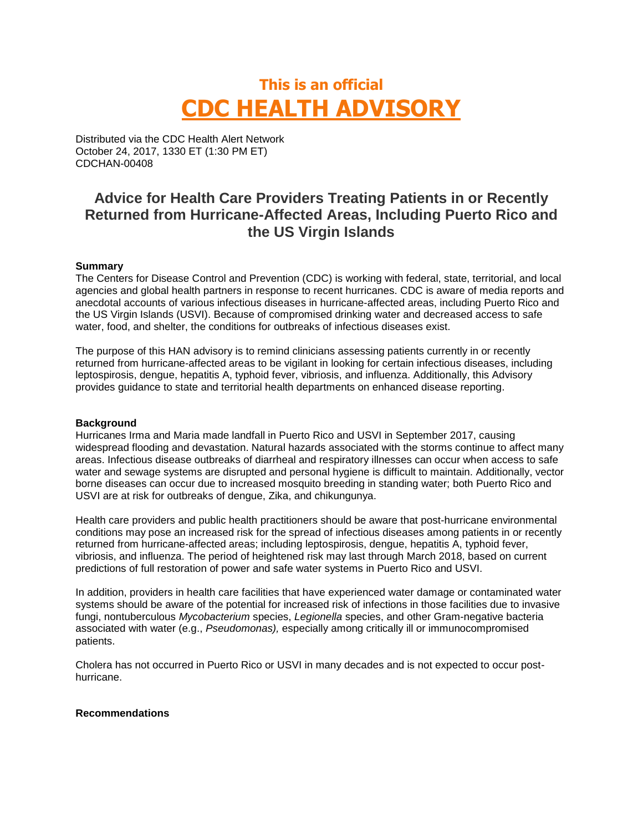# **This is an official CDC HEALTH ADVISORY**

Distributed via the CDC Health Alert Network October 24, 2017, 1330 ET (1:30 PM ET) CDCHAN-00408

## **Advice for Health Care Providers Treating Patients in or Recently Returned from Hurricane-Affected Areas, Including Puerto Rico and the US Virgin Islands**

#### **Summary**

The Centers for Disease Control and Prevention (CDC) is working with federal, state, territorial, and local agencies and global health partners in response to recent hurricanes. CDC is aware of media reports and anecdotal accounts of various infectious diseases in hurricane-affected areas, including Puerto Rico and the US Virgin Islands (USVI). Because of compromised drinking water and decreased access to safe water, food, and shelter, the conditions for outbreaks of infectious diseases exist.

The purpose of this HAN advisory is to remind clinicians assessing patients currently in or recently returned from hurricane-affected areas to be vigilant in looking for certain infectious diseases, including leptospirosis, dengue, hepatitis A, typhoid fever, vibriosis, and influenza. Additionally, this Advisory provides guidance to state and territorial health departments on enhanced disease reporting.

#### **Background**

Hurricanes Irma and Maria made landfall in Puerto Rico and USVI in September 2017, causing widespread flooding and devastation. Natural hazards associated with the storms continue to affect many areas. Infectious disease outbreaks of diarrheal and respiratory illnesses can occur when access to safe water and sewage systems are disrupted and personal hygiene is difficult to maintain. Additionally, vector borne diseases can occur due to increased mosquito breeding in standing water; both Puerto Rico and USVI are at risk for outbreaks of dengue, Zika, and chikungunya.

Health care providers and public health practitioners should be aware that post-hurricane environmental conditions may pose an increased risk for the spread of infectious diseases among patients in or recently returned from hurricane-affected areas; including leptospirosis, dengue, hepatitis A, typhoid fever, vibriosis, and influenza. The period of heightened risk may last through March 2018, based on current predictions of full restoration of power and safe water systems in Puerto Rico and USVI.

In addition, providers in health care facilities that have experienced water damage or contaminated water systems should be aware of the potential for increased risk of infections in those facilities due to invasive fungi, nontuberculous *Mycobacterium* species, *Legionella* species, and other Gram-negative bacteria associated with water (e.g., *Pseudomonas),* especially among critically ill or immunocompromised patients.

Cholera has not occurred in Puerto Rico or USVI in many decades and is not expected to occur posthurricane.

#### **Recommendations**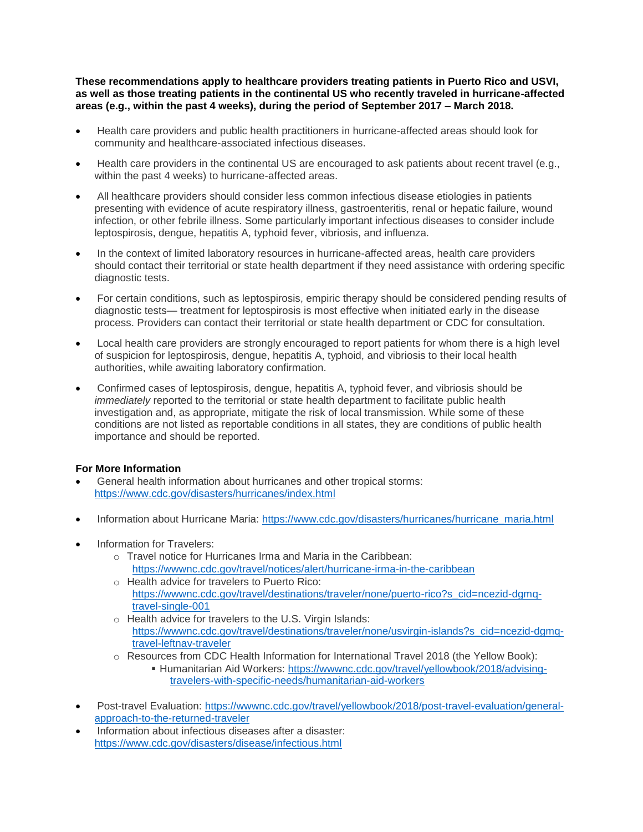**These recommendations apply to healthcare providers treating patients in Puerto Rico and USVI, as well as those treating patients in the continental US who recently traveled in hurricane-affected areas (e.g., within the past 4 weeks), during the period of September 2017 – March 2018.**

- Health care providers and public health practitioners in hurricane-affected areas should look for community and healthcare-associated infectious diseases.
- Health care providers in the continental US are encouraged to ask patients about recent travel (e.g., within the past 4 weeks) to hurricane-affected areas.
- All healthcare providers should consider less common infectious disease etiologies in patients presenting with evidence of acute respiratory illness, gastroenteritis, renal or hepatic failure, wound infection, or other febrile illness. Some particularly important infectious diseases to consider include leptospirosis, dengue, hepatitis A, typhoid fever, vibriosis, and influenza.
- In the context of limited laboratory resources in hurricane-affected areas, health care providers should contact their territorial or state health department if they need assistance with ordering specific diagnostic tests.
- For certain conditions, such as leptospirosis, empiric therapy should be considered pending results of diagnostic tests— treatment for leptospirosis is most effective when initiated early in the disease process. Providers can contact their territorial or state health department or CDC for consultation.
- Local health care providers are strongly encouraged to report patients for whom there is a high level of suspicion for leptospirosis, dengue, hepatitis A, typhoid, and vibriosis to their local health authorities, while awaiting laboratory confirmation.
- Confirmed cases of leptospirosis, dengue, hepatitis A, typhoid fever, and vibriosis should be *immediately* reported to the territorial or state health department to facilitate public health investigation and, as appropriate, mitigate the risk of local transmission. While some of these conditions are not listed as reportable conditions in all states, they are conditions of public health importance and should be reported.

### **For More Information**

- General health information about hurricanes and other tropical storms: <https://www.cdc.gov/disasters/hurricanes/index.html>
- Information about Hurricane Maria: [https://www.cdc.gov/disasters/hurricanes/hurricane\\_maria.html](https://www.cdc.gov/disasters/hurricanes/hurricane_maria.html)
- Information for Travelers:
	- o Travel notice for Hurricanes Irma and Maria in the Caribbean: <https://wwwnc.cdc.gov/travel/notices/alert/hurricane-irma-in-the-caribbean>
	- o Health advice for travelers to Puerto Rico: [https://wwwnc.cdc.gov/travel/destinations/traveler/none/puerto-rico?s\\_cid=ncezid-dgmq](https://wwwnc.cdc.gov/travel/destinations/traveler/none/puerto-rico?s_cid=ncezid-dgmq-travel-single-001)[travel-single-001](https://wwwnc.cdc.gov/travel/destinations/traveler/none/puerto-rico?s_cid=ncezid-dgmq-travel-single-001)
	- o Health advice for travelers to the U.S. Virgin Islands: [https://wwwnc.cdc.gov/travel/destinations/traveler/none/usvirgin-islands?s\\_cid=ncezid-dgmq](https://wwwnc.cdc.gov/travel/destinations/traveler/none/usvirgin-islands?s_cid=ncezid-dgmq-travel-leftnav-traveler)[travel-leftnav-traveler](https://wwwnc.cdc.gov/travel/destinations/traveler/none/usvirgin-islands?s_cid=ncezid-dgmq-travel-leftnav-traveler)
	- o Resources from CDC Health Information for International Travel 2018 (the Yellow Book):
		- Humanitarian Aid Workers: [https://wwwnc.cdc.gov/travel/yellowbook/2018/advising](https://wwwnc.cdc.gov/travel/yellowbook/2018/advising-travelers-with-specific-needs/humanitarian-aid-workers)[travelers-with-specific-needs/humanitarian-aid-workers](https://wwwnc.cdc.gov/travel/yellowbook/2018/advising-travelers-with-specific-needs/humanitarian-aid-workers)
- Post-travel Evaluation: [https://wwwnc.cdc.gov/travel/yellowbook/2018/post-travel-evaluation/general](https://wwwnc.cdc.gov/travel/yellowbook/2018/post-travel-evaluation/general-approach-to-the-returned-traveler)[approach-to-the-returned-traveler](https://wwwnc.cdc.gov/travel/yellowbook/2018/post-travel-evaluation/general-approach-to-the-returned-traveler)
- Information about infectious diseases after a disaster: <https://www.cdc.gov/disasters/disease/infectious.html>